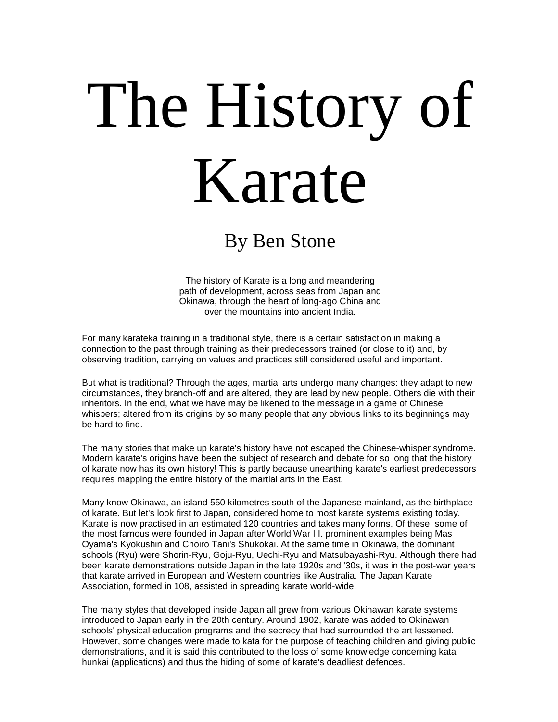## The History of Karate

## By Ben Stone

The history of Karate is a long and meandering path of development, across seas from Japan and Okinawa, through the heart of long-ago China and over the mountains into ancient India.

For many karateka training in a traditional style, there is a certain satisfaction in making a connection to the past through training as their predecessors trained (or close to it) and, by observing tradition, carrying on values and practices still considered useful and important.

But what is traditional? Through the ages, martial arts undergo many changes: they adapt to new circumstances, they branch-off and are altered, they are lead by new people. Others die with their inheritors. In the end, what we have may be likened to the message in a game of Chinese whispers; altered from its origins by so many people that any obvious links to its beginnings may be hard to find.

The many stories that make up karate's history have not escaped the Chinese-whisper syndrome. Modern karate's origins have been the subject of research and debate for so long that the history of karate now has its own history! This is partly because unearthing karate's earliest predecessors requires mapping the entire history of the martial arts in the East.

Many know Okinawa, an island 550 kilometres south of the Japanese mainland, as the birthplace of karate. But let's look first to Japan, considered home to most karate systems existing today. Karate is now practised in an estimated 120 countries and takes many forms. Of these, some of the most famous were founded in Japan after World War I I. prominent examples being Mas Oyama's Kyokushin and Choiro Tani's Shukokai. At the same time in Okinawa, the dominant schools (Ryu) were Shorin-Ryu, Goju-Ryu, Uechi-Ryu and Matsubayashi-Ryu. Although there had been karate demonstrations outside Japan in the late 1920s and '30s, it was in the post-war years that karate arrived in European and Western countries like Australia. The Japan Karate Association, formed in 108, assisted in spreading karate world-wide.

The many styles that developed inside Japan all grew from various Okinawan karate systems introduced to Japan early in the 20th century. Around 1902, karate was added to Okinawan schools' physical education programs and the secrecy that had surrounded the art lessened. However, some changes were made to kata for the purpose of teaching children and giving public demonstrations, and it is said this contributed to the loss of some knowledge concerning kata hunkai (applications) and thus the hiding of some of karate's deadliest defences.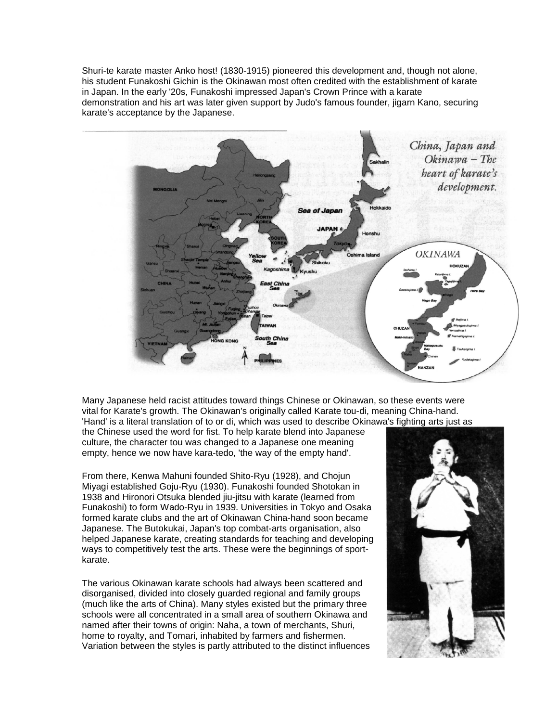Shuri-te karate master Anko host! (1830-1915) pioneered this development and, though not alone, his student Funakoshi Gichin is the Okinawan most often credited with the establishment of karate in Japan. In the early '20s, Funakoshi impressed Japan's Crown Prince with a karate demonstration and his art was later given support by Judo's famous founder, jigarn Kano, securing karate's acceptance by the Japanese.



Many Japanese held racist attitudes toward things Chinese or Okinawan, so these events were vital for Karate's growth. The Okinawan's originally called Karate tou-di, meaning China-hand. 'Hand' is a literal translation of to or di, which was used to describe Okinawa's fighting arts just as the Chinese used the word for fist. To help karate blend into Japanese

culture, the character tou was changed to a Japanese one meaning empty, hence we now have kara-tedo, 'the way of the empty hand'.

From there, Kenwa Mahuni founded Shito-Ryu (1928), and Chojun Miyagi established Goju-Ryu (1930). Funakoshi founded Shotokan in 1938 and Hironori Otsuka blended jiu-jitsu with karate (learned from Funakoshi) to form Wado-Ryu in 1939. Universities in Tokyo and Osaka formed karate clubs and the art of Okinawan China-hand soon became Japanese. The Butokukai, Japan's top combat-arts organisation, also helped Japanese karate, creating standards for teaching and developing ways to competitively test the arts. These were the beginnings of sportkarate.

The various Okinawan karate schools had always been scattered and disorganised, divided into closely guarded regional and family groups (much like the arts of China). Many styles existed but the primary three schools were all concentrated in a small area of southern Okinawa and named after their towns of origin: Naha, a town of merchants, Shuri, home to royalty, and Tomari, inhabited by farmers and fishermen. Variation between the styles is partly attributed to the distinct influences

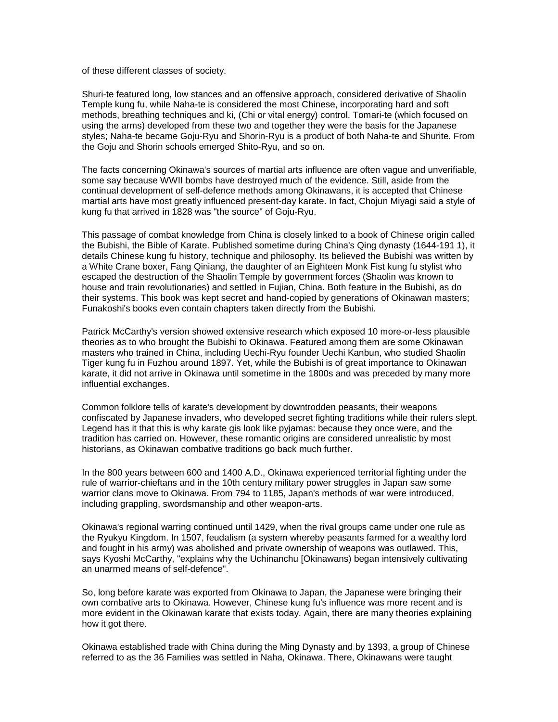of these different classes of society.

Shuri-te featured long, low stances and an offensive approach, considered derivative of Shaolin Temple kung fu, while Naha-te is considered the most Chinese, incorporating hard and soft methods, breathing techniques and ki, (Chi or vital energy) control. Tomari-te (which focused on using the arms) developed from these two and together they were the basis for the Japanese styles; Naha-te became Goju-Ryu and Shorin-Ryu is a product of both Naha-te and Shurite. From the Goju and Shorin schools emerged Shito-Ryu, and so on.

The facts concerning Okinawa's sources of martial arts influence are often vague and unverifiable, some say because WWII bombs have destroyed much of the evidence. Still, aside from the continual development of self-defence methods among Okinawans, it is accepted that Chinese martial arts have most greatly influenced present-day karate. In fact, Chojun Miyagi said a style of kung fu that arrived in 1828 was "the source" of Goju-Ryu.

This passage of combat knowledge from China is closely linked to a book of Chinese origin called the Bubishi, the Bible of Karate. Published sometime during China's Qing dynasty (1644-191 1), it details Chinese kung fu history, technique and philosophy. Its believed the Bubishi was written by a White Crane boxer, Fang Qiniang, the daughter of an Eighteen Monk Fist kung fu stylist who escaped the destruction of the Shaolin Temple by government forces (Shaolin was known to house and train revolutionaries) and settled in Fujian, China. Both feature in the Bubishi, as do their systems. This book was kept secret and hand-copied by generations of Okinawan masters; Funakoshi's books even contain chapters taken directly from the Bubishi.

Patrick McCarthy's version showed extensive research which exposed 10 more-or-less plausible theories as to who brought the Bubishi to Okinawa. Featured among them are some Okinawan masters who trained in China, including Uechi-Ryu founder Uechi Kanbun, who studied Shaolin Tiger kung fu in Fuzhou around 1897. Yet, while the Bubishi is of great importance to Okinawan karate, it did not arrive in Okinawa until sometime in the 1800s and was preceded by many more influential exchanges.

Common folklore tells of karate's development by downtrodden peasants, their weapons confiscated by Japanese invaders, who developed secret fighting traditions while their rulers slept. Legend has it that this is why karate gis look like pyjamas: because they once were, and the tradition has carried on. However, these romantic origins are considered unrealistic by most historians, as Okinawan combative traditions go back much further.

In the 800 years between 600 and 1400 A.D., Okinawa experienced territorial fighting under the rule of warrior-chieftans and in the 10th century military power struggles in Japan saw some warrior clans move to Okinawa. From 794 to 1185, Japan's methods of war were introduced, including grappling, swordsmanship and other weapon-arts.

Okinawa's regional warring continued until 1429, when the rival groups came under one rule as the Ryukyu Kingdom. In 1507, feudalism (a system whereby peasants farmed for a wealthy lord and fought in his army) was abolished and private ownership of weapons was outlawed. This, says Kyoshi McCarthy, "explains why the Uchinanchu [Okinawans) began intensively cultivating an unarmed means of self-defence".

So, long before karate was exported from Okinawa to Japan, the Japanese were bringing their own combative arts to Okinawa. However, Chinese kung fu's influence was more recent and is more evident in the Okinawan karate that exists today. Again, there are many theories explaining how it got there.

Okinawa established trade with China during the Ming Dynasty and by 1393, a group of Chinese referred to as the 36 Families was settled in Naha, Okinawa. There, Okinawans were taught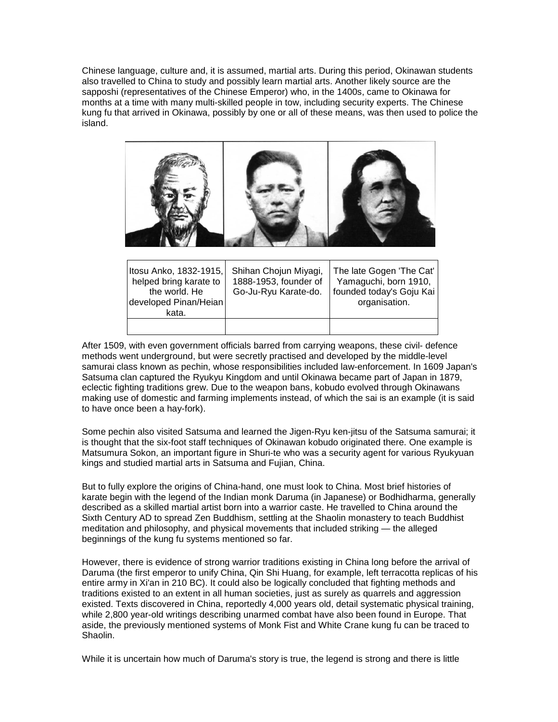Chinese language, culture and, it is assumed, martial arts. During this period, Okinawan students also travelled to China to study and possibly learn martial arts. Another likely source are the sapposhi (representatives of the Chinese Emperor) who, in the 1400s, came to Okinawa for months at a time with many multi-skilled people in tow, including security experts. The Chinese kung fu that arrived in Okinawa, possibly by one or all of these means, was then used to police the island.



| Itosu Anko, 1832-1915,<br>helped bring karate to<br>the world. He<br>developed Pinan/Heian<br>kata. | Shihan Chojun Miyagi,<br>1888-1953, founder of<br>Go-Ju-Ryu Karate-do. | The late Gogen 'The Cat'<br>Yamaguchi, born 1910,<br>founded today's Goju Kai<br>organisation. |
|-----------------------------------------------------------------------------------------------------|------------------------------------------------------------------------|------------------------------------------------------------------------------------------------|
|                                                                                                     |                                                                        |                                                                                                |

After 1509, with even government officials barred from carrying weapons, these civil- defence methods went underground, but were secretly practised and developed by the middle-level samurai class known as pechin, whose responsibilities included law-enforcement. In 1609 Japan's Satsuma clan captured the Ryukyu Kingdom and until Okinawa became part of Japan in 1879, eclectic fighting traditions grew. Due to the weapon bans, kobudo evolved through Okinawans making use of domestic and farming implements instead, of which the sai is an example (it is said to have once been a hay-fork).

Some pechin also visited Satsuma and learned the Jigen-Ryu ken-jitsu of the Satsuma samurai; it is thought that the six-foot staff techniques of Okinawan kobudo originated there. One example is Matsumura Sokon, an important figure in Shuri-te who was a security agent for various Ryukyuan kings and studied martial arts in Satsuma and Fujian, China.

But to fully explore the origins of China-hand, one must look to China. Most brief histories of karate begin with the legend of the Indian monk Daruma (in Japanese) or Bodhidharma, generally described as a skilled martial artist born into a warrior caste. He travelled to China around the Sixth Century AD to spread Zen Buddhism, settling at the Shaolin monastery to teach Buddhist meditation and philosophy, and physical movements that included striking — the alleged beginnings of the kung fu systems mentioned so far.

However, there is evidence of strong warrior traditions existing in China long before the arrival of Daruma (the first emperor to unify China, Qin Shi Huang, for example, left terracotta replicas of his entire army in Xi'an in 210 BC). It could also be logically concluded that fighting methods and traditions existed to an extent in all human societies, just as surely as quarrels and aggression existed. Texts discovered in China, reportedly 4,000 years old, detail systematic physical training, while 2,800 year-old writings describing unarmed combat have also been found in Europe. That aside, the previously mentioned systems of Monk Fist and White Crane kung fu can be traced to Shaolin.

While it is uncertain how much of Daruma's story is true, the legend is strong and there is little